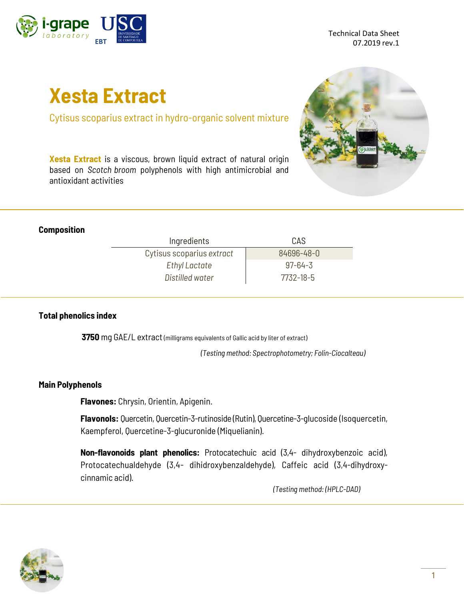

Technical Data Sheet 07.2019 rev.1

# **Xesta Extract**

Cytisus scoparius extract in hydro-organic solvent mixture

**Xesta Extract** is a viscous, brown liquid extract of natural origin based on *Scotch broom* polyphenols with high antimicrobial and antioxidant activities



#### **Composition**

| Ingredients               | CAS           |  |
|---------------------------|---------------|--|
| Cytisus scoparius extract | 84696-48-0    |  |
| Ethyl Lactate             | $97 - 64 - 3$ |  |
| Distilled water           | 7732-18-5     |  |

#### **Total phenolics index**

**3750** mg GAE/L extract (milligrams equivalents of Gallic acid by liter of extract)

*(Testing method: Spectrophotometry; Folin-Ciocalteau)*

#### **Main Polyphenols**

**Flavones:** Chrysin, Orientin, Apigenin.

**Flavonols:** Quercetin, Quercetin-3-rutinoside (Rutin), Quercetine-3-glucoside (Isoquercetin, Kaempferol, Quercetine-3-glucuronide (Miquelianin).

**Non-flavonoids plant phenolics:** Protocatechuic acid (3,4- dihydroxybenzoic acid), Protocatechualdehyde (3,4- dihidroxybenzaldehyde), Caffeic acid (3,4-dihydroxycinnamic acid).

*(Testing method: (HPLC-DAD)*

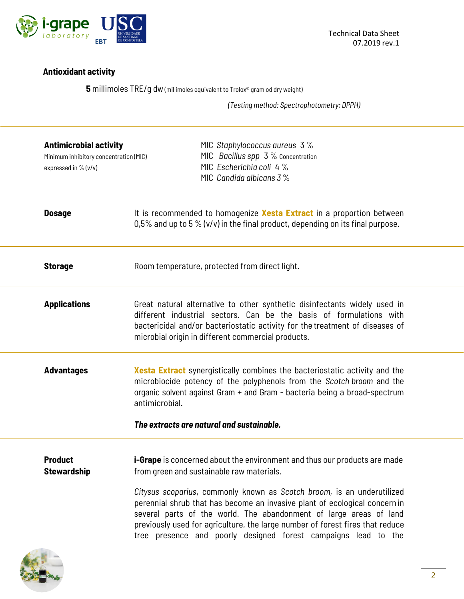

## **Antioxidant activity**

**5** millimoles TRE/g dw (millimoles equivalent to Trolox® gram od dry weight)

*(Testing method: Spectrophotometry; DPPH)*

| <b>Antimicrobial activity</b><br>Minimum inhibitory concentration (MIC)<br>expressed in % (v/v) | MIC Staphylococcus aureus 3%<br>MIC Bacillus spp 3 % Concentration<br>MIC Escherichia coli 4%<br>MIC Candida albicans $3\%$                                                                                                                                                                                                                                                                                                                                                                                   |
|-------------------------------------------------------------------------------------------------|---------------------------------------------------------------------------------------------------------------------------------------------------------------------------------------------------------------------------------------------------------------------------------------------------------------------------------------------------------------------------------------------------------------------------------------------------------------------------------------------------------------|
| <b>Dosage</b>                                                                                   | It is recommended to homogenize Xesta Extract in a proportion between<br>0,5% and up to 5 % ( $v/v$ ) in the final product, depending on its final purpose.                                                                                                                                                                                                                                                                                                                                                   |
| <b>Storage</b>                                                                                  | Room temperature, protected from direct light.                                                                                                                                                                                                                                                                                                                                                                                                                                                                |
| <b>Applications</b>                                                                             | Great natural alternative to other synthetic disinfectants widely used in<br>different industrial sectors. Can be the basis of formulations with<br>bactericidal and/or bacteriostatic activity for the treatment of diseases of<br>microbial origin in different commercial products.                                                                                                                                                                                                                        |
| <b>Advantages</b>                                                                               | <b>Xesta Extract</b> synergistically combines the bacteriostatic activity and the<br>microbiocide potency of the polyphenols from the Scotch broom and the<br>organic solvent against Gram + and Gram - bacteria being a broad-spectrum<br>antimicrobial.<br>The extracts are natural and sustainable.                                                                                                                                                                                                        |
|                                                                                                 |                                                                                                                                                                                                                                                                                                                                                                                                                                                                                                               |
| <b>Product</b><br><b>Stewardship</b>                                                            | <b>i-Grape</b> is concerned about the environment and thus our products are made<br>from green and sustainable raw materials.<br>Citysus scoparius, commonly known as Scotch broom, is an underutilized<br>perennial shrub that has become an invasive plant of ecological concernin<br>several parts of the world. The abandonment of large areas of land<br>previously used for agriculture, the large number of forest fires that reduce<br>tree presence and poorly designed forest campaigns lead to the |
|                                                                                                 |                                                                                                                                                                                                                                                                                                                                                                                                                                                                                                               |